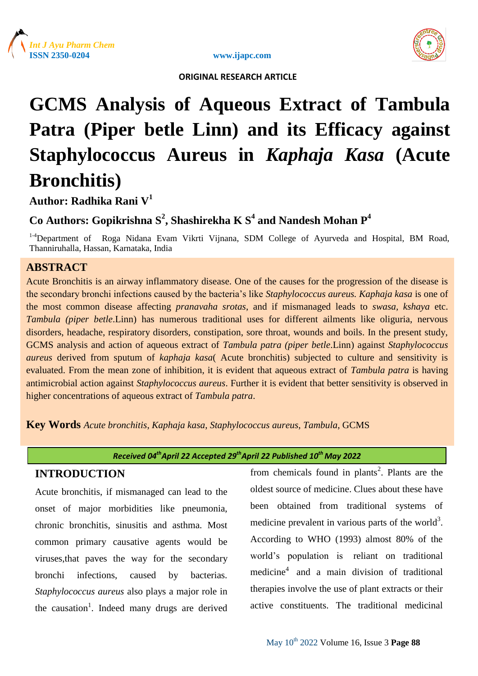





# **GCMS Analysis of Aqueous Extract of Tambula Patra (Piper betle Linn) and its Efficacy against Staphylococcus Aureus in** *Kaphaja Kasa* **(Acute Bronchitis)**

# **Author: Radhika Rani V<sup>1</sup>**

# **Co Authors: Gopikrishna S<sup>2</sup> , Shashirekha K S<sup>4</sup> and Nandesh Mohan P<sup>4</sup>**

<sup>1-4</sup>Department of Roga Nidana Evam Vikrti Vijnana, SDM College of Ayurveda and Hospital, BM Road, Thanniruhalla, Hassan, Karnataka, India

# **ABSTRACT**

Acute Bronchitis is an airway inflammatory disease. One of the causes for the progression of the disease is the secondary bronchi infections caused by the bacteria's like *Staphylococcus aureus. Kaphaja kasa* is one of the most common disease affecting *pranavaha srotas*, and if mismanaged leads to *swasa, kshaya* etc. *Tambula (piper betle*.Linn) has numerous traditional uses for different ailments like oliguria, nervous disorders, headache, respiratory disorders, constipation, sore throat, wounds and boils. In the present study, GCMS analysis and action of aqueous extract of *Tambula patra (piper betle*.Linn) against *Staphylococcus aureus* derived from sputum of *kaphaja kasa*( Acute bronchitis) subjected to culture and sensitivity is evaluated. From the mean zone of inhibition, it is evident that aqueous extract of *Tambula patra* is having antimicrobial action against *Staphylococcus aureus*. Further it is evident that better sensitivity is observed in higher concentrations of aqueous extract of *Tambula patra*.

**Key Words** *Acute bronchitis*, *Kaphaja kasa*, *Staphylococcus aureus*, *Tambula*, GCMS

*Received 04thApril 22 Accepted 29thApril 22 Published 10th May 2022*

# **INTRODUCTION**

Acute bronchitis, if mismanaged can lead to the onset of major morbidities like pneumonia, chronic bronchitis, sinusitis and asthma. Most common primary causative agents would be viruses,that paves the way for the secondary bronchi infections, caused by bacterias. *Staphylococcus aureus* also plays a major role in the causation<sup>1</sup>. Indeed many drugs are derived

from chemicals found in plants<sup>2</sup>. Plants are the oldest source of medicine. Clues about these have been obtained from traditional systems of medicine prevalent in various parts of the world<sup>3</sup>. According to WHO (1993) almost 80% of the world's population is reliant on traditional medicine<sup>4</sup> and a main division of traditional therapies involve the use of plant extracts or their active constituents. The traditional medicinal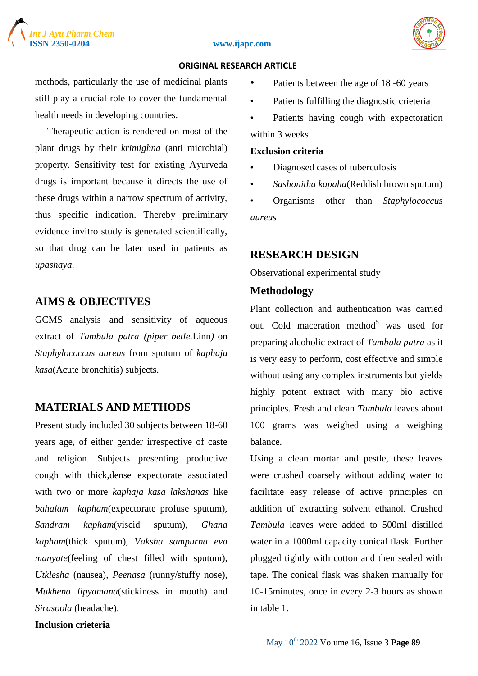



### **ORIGINAL RESEARCH ARTICLE**

methods, particularly the use of medicinal plants still play a crucial role to cover the fundamental health needs in developing countries.

 Therapeutic action is rendered on most of the plant drugs by their *krimighna* (anti microbial) property. Sensitivity test for existing Ayurveda drugs is important because it directs the use of these drugs within a narrow spectrum of activity, thus specific indication. Thereby preliminary evidence invitro study is generated scientifically, so that drug can be later used in patients as *upashaya*.

# **AIMS & OBJECTIVES**

GCMS analysis and sensitivity of aqueous extract of *Tambula patra (piper betle.*Linn*)* on *Staphylococcus aureus* from sputum of *kaphaja kasa*(Acute bronchitis) subjects.

# **MATERIALS AND METHODS**

Present study included 30 subjects between 18-60 years age, of either gender irrespective of caste and religion. Subjects presenting productive cough with thick,dense expectorate associated with two or more *kaphaja kasa lakshanas* like *bahalam kapham*(expectorate profuse sputum), *Sandram kapham*(viscid sputum), *Ghana kapham*(thick sputum), *Vaksha sampurna eva manyate*(feeling of chest filled with sputum), *Utklesha* (nausea), *Peenasa* (runny/stuffy nose), *Mukhena lipyamana*(stickiness in mouth) and *Sirasoola* (headache).

### **Inclusion crieteria**

- Patients between the age of 18 -60 years
- Patients fulfilling the diagnostic crieteria
- Patients having cough with expectoration within 3 weeks

### **Exclusion criteria**

- Diagnosed cases of tuberculosis
- *Sashonitha kapaha*(Reddish brown sputum)

• Organisms other than *Staphylococcus aureus*

# **RESEARCH DESIGN**

Observational experimental study

# **Methodology**

Plant collection and authentication was carried out. Cold maceration method<sup>5</sup> was used for preparing alcoholic extract of *Tambula patra* as it is very easy to perform, cost effective and simple without using any complex instruments but yields highly potent extract with many bio active principles. Fresh and clean *Tambula* leaves about 100 grams was weighed using a weighing balance.

Using a clean mortar and pestle, these leaves were crushed coarsely without adding water to facilitate easy release of active principles on addition of extracting solvent ethanol. Crushed *Tambula* leaves were added to 500ml distilled water in a 1000ml capacity conical flask. Further plugged tightly with cotton and then sealed with tape. The conical flask was shaken manually for 10-15minutes, once in every 2-3 hours as shown in table 1.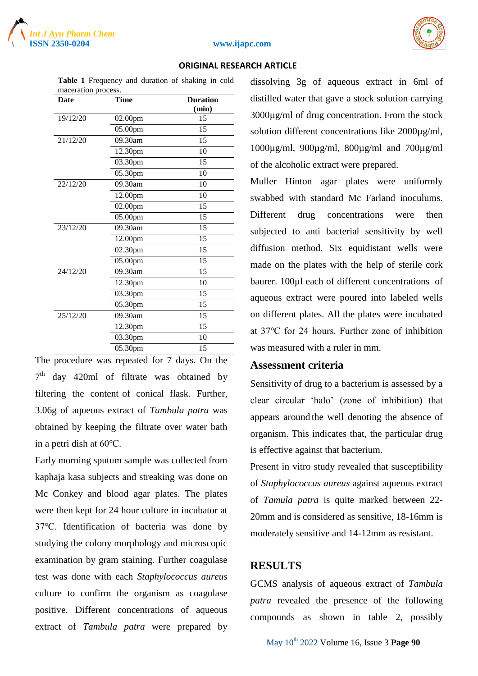



 **ORIGINAL RESEARCH ARTICLE**

| maceration process. |         |                 |  |  |  |  |  |  |  |
|---------------------|---------|-----------------|--|--|--|--|--|--|--|
| <b>Date</b>         | Time    | <b>Duration</b> |  |  |  |  |  |  |  |
|                     |         | (min)           |  |  |  |  |  |  |  |
| 19/12/20            | 02.00pm | 15              |  |  |  |  |  |  |  |
|                     | 05.00pm | 15              |  |  |  |  |  |  |  |
| 21/12/20            | 09.30am | 15              |  |  |  |  |  |  |  |
|                     | 12.30pm | 10              |  |  |  |  |  |  |  |
|                     | 03.30pm | 15              |  |  |  |  |  |  |  |
|                     | 05.30pm | 10              |  |  |  |  |  |  |  |
| 22/12/20            | 09.30am | 10              |  |  |  |  |  |  |  |
|                     | 12.00pm | 10              |  |  |  |  |  |  |  |
|                     | 02.00pm | 15              |  |  |  |  |  |  |  |
|                     | 05.00pm | 15              |  |  |  |  |  |  |  |
| 23/12/20            | 09.30am | 15              |  |  |  |  |  |  |  |
|                     | 12.00pm | 15              |  |  |  |  |  |  |  |
|                     | 02.30pm | 15              |  |  |  |  |  |  |  |
|                     | 05.00pm | 15              |  |  |  |  |  |  |  |
| 24/12/20            | 09.30am | 15              |  |  |  |  |  |  |  |
|                     | 12.30pm | 10              |  |  |  |  |  |  |  |
|                     | 03.30pm | 15              |  |  |  |  |  |  |  |
|                     | 05.30pm | 15              |  |  |  |  |  |  |  |
| 25/12/20            | 09.30am | 15              |  |  |  |  |  |  |  |
|                     | 12.30pm | 15              |  |  |  |  |  |  |  |
|                     | 03.30pm | 10              |  |  |  |  |  |  |  |
|                     | 05.30pm | 15              |  |  |  |  |  |  |  |

# **Table 1** Frequency and duration of shaking in cold

The procedure was repeated for 7 days. On the  $7<sup>th</sup>$  day 420ml of filtrate was obtained by filtering the content of conical flask. Further, 3.06g of aqueous extract of *Tambula patra* was obtained by keeping the filtrate over water bath in a petri dish at 60℃.

Early morning sputum sample was collected from kaphaja kasa subjects and streaking was done on Mc Conkey and blood agar plates. The plates were then kept for 24 hour culture in incubator at 37℃. Identification of bacteria was done by studying the colony morphology and microscopic examination by gram staining. Further coagulase test was done with each *Staphylococcus aureus*  culture to confirm the organism as coagulase positive. Different concentrations of aqueous extract of *Tambula patra* were prepared by dissolving 3g of aqueous extract in 6ml of distilled water that gave a stock solution carrying 3000µg/ml of drug concentration. From the stock solution different concentrations like 2000µg/ml, 1000µg/ml, 900µg/ml, 800µg/ml and 700µg/ml of the alcoholic extract were prepared.

Muller Hinton agar plates were uniformly swabbed with standard Mc Farland inoculums. Different drug concentrations were then subjected to anti bacterial sensitivity by well diffusion method. Six equidistant wells were made on the plates with the help of sterile cork baurer. 100µl each of different concentrations of aqueous extract were poured into labeled wells on different plates. All the plates were incubated at 37℃ for 24 hours. Further zone of inhibition was measured with a ruler in mm.

# **Assessment criteria**

Sensitivity of drug to a bacterium is assessed by a clear circular 'halo' (zone of inhibition) that appears around the well denoting the absence of organism. This indicates that, the particular drug is effective against that bacterium.

Present in vitro study revealed that susceptibility of *Staphylococcus aureus* against aqueous extract of *Tamula patra* is quite marked between 22- 20mm and is considered as sensitive, 18-16mm is moderately sensitive and 14-12mm as resistant.

# **RESULTS**

GCMS analysis of aqueous extract of *Tambula patra* revealed the presence of the following compounds as shown in table 2, possibly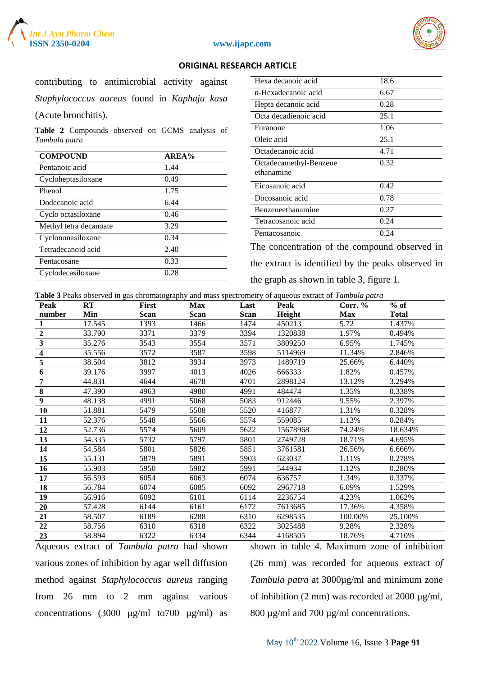



### **ORIGINAL RESEARCH ARTICLE**

| contributing to antimicrobial activity against |  |  |  |  |
|------------------------------------------------|--|--|--|--|
| Staphylococcus aureus found in Kaphaja kasa    |  |  |  |  |
| (Acute bronchitis).                            |  |  |  |  |

**Table 2** Compounds observed on GCMS analysis of *Tambula patra*

| <b>COMPOUND</b>        | AREA% |
|------------------------|-------|
| Pentanoic acid         | 1.44  |
| Cycloheptasiloxane     | 0.49  |
| Phenol                 | 1.75  |
| Dodecanoic acid        | 6.44  |
| Cyclo octasiloxane     | 0.46  |
| Methyl tetra decanoate | 3.29  |
| Cyclononasiloxane      | 0.34  |
| Tetradecanoid acid     | 2.40  |
| Pentacosane            | 0.33  |
| Cyclodecasiloxane      | 0.28  |
|                        |       |

The concentration of the compound observed in the extract is identified by the peaks observed in the graph as shown in table 3, figure 1.

**Table 3** Peaks observed in gas chromatography and mass spectrometry of aqueous extract of *Tambula patra*

| Peak                    | RT     | First | <b>Max</b> | Last        | Peak     | Corr. $%$  | $%$ of       |
|-------------------------|--------|-------|------------|-------------|----------|------------|--------------|
| number                  | Min    | Scan  | Scan       | <b>Scan</b> | Height   | <b>Max</b> | <b>Total</b> |
|                         | 17.545 | 1393  | 1466       | 1474        | 450213   | 5.72       | 1.437%       |
| $\overline{2}$          | 33.790 | 3371  | 3379       | 3394        | 1320838  | 1.97%      | 0.494%       |
| 3                       | 35.276 | 3543  | 3554       | 3571        | 3809250  | 6.95%      | 1.745%       |
| $\overline{\mathbf{4}}$ | 35.556 | 3572  | 3587       | 3598        | 5114969  | 11.34%     | 2.846%       |
| 5                       | 38.504 | 3812  | 3934       | 3973        | 1489719  | 25.66%     | 6.440%       |
| 6                       | 39.176 | 3997  | 4013       | 4026        | 666333   | 1.82%      | 0.457%       |
| 7                       | 44.831 | 4644  | 4678       | 4701        | 2898124  | 13.12%     | 3.294%       |
| 8                       | 47.390 | 4963  | 4980       | 4991        | 484474   | 1.35%      | 0.338%       |
| 9                       | 48.138 | 4991  | 5068       | 5083        | 912446   | 9.55%      | 2.397%       |
| 10                      | 51.881 | 5479  | 5508       | 5520        | 416877   | 1.31%      | 0.328%       |
| 11                      | 52.376 | 5548  | 5566       | 5574        | 559085   | 1.13%      | 0.284%       |
| 12                      | 52.736 | 5574  | 5609       | 5622        | 15678968 | 74.24%     | 18.634%      |
| 13                      | 54.335 | 5732  | 5797       | 5801        | 2749728  | 18.71%     | 4.695%       |
| 14                      | 54.584 | 5801  | 5826       | 5851        | 3761581  | 26.56%     | 6.666%       |
| 15                      | 55.131 | 5879  | 5891       | 5903        | 623037   | 1.11%      | 0.278%       |
| 16                      | 55.903 | 5950  | 5982       | 5991        | 544934   | 1.12%      | 0.280%       |
| 17                      | 56.593 | 6054  | 6063       | 6074        | 636757   | 1.34%      | 0.337%       |
| 18                      | 56.784 | 6074  | 6085       | 6092        | 2967718  | 6.09%      | 1.529%       |
| 19                      | 56.916 | 6092  | 6101       | 6114        | 2236754  | 4.23%      | 1.062%       |
| 20                      | 57.428 | 6144  | 6161       | 6172        | 7613685  | 17.36%     | 4.358%       |
| 21                      | 58.507 | 6189  | 6288       | 6310        | 6298535  | 100.00%    | 25.100%      |
| 22                      | 58.756 | 6310  | 6318       | 6322        | 3025488  | 9.28%      | 2.328%       |
| 23                      | 58.894 | 6322  | 6334       | 6344        | 4168505  | 18.76%     | 4.710%       |

Aqueous extract of *Tambula patra* had shown various zones of inhibition by agar well diffusion method against *Staphylococcus aureus* ranging from 26 mm to 2 mm against various concentrations (3000 µg/ml to700 µg/ml) as

shown in table 4. Maximum zone of inhibition (26 mm) was recorded for aqueous extract *of Tambula patra* at 3000µg/ml and minimum zone of inhibition (2 mm) was recorded at 2000  $\mu$ g/ml, 800 µg/ml and 700 µg/ml concentrations.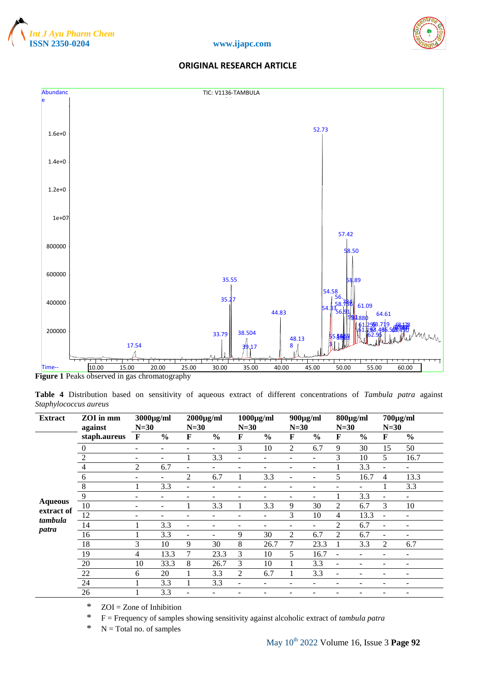







Figure 1 Peaks observed in gas chromatography

**Table 4** Distribution based on sensitivity of aqueous extract of different concentrations of *Tambula patra* against *Staphylococcus aureus*

| <b>Extract</b>               | ZOI in mm<br>against | $3000\mu\text{g/ml}$<br>$N=30$ |                          | $2000\mu g/ml$<br>$N=30$ |                          | $1000\mu\text{g/ml}$<br>$N=30$ |               | $900\mu g/ml$<br>$N=30$  |                          | $800\mu g/ml$<br>$N=30$  |                | $700\mu g/ml$<br>$N=30$  |                          |
|------------------------------|----------------------|--------------------------------|--------------------------|--------------------------|--------------------------|--------------------------------|---------------|--------------------------|--------------------------|--------------------------|----------------|--------------------------|--------------------------|
|                              | staph.aureus         | $\mathbf F$                    | $\frac{0}{0}$            | F                        | $\frac{6}{9}$            | F                              | $\frac{0}{0}$ | F                        | $\frac{0}{0}$            | $\mathbf F$              | $\frac{0}{0}$  | F                        | $\frac{0}{0}$            |
|                              | $\mathbf{0}$         | $\overline{\phantom{a}}$       | $\overline{\phantom{a}}$ |                          | $\overline{\phantom{a}}$ | 3                              | 10            | 2                        | 6.7                      | 9                        | 30             | 15                       | 50                       |
|                              | $\sqrt{2}$           | $\overline{\phantom{a}}$       | $\overline{\phantom{a}}$ |                          | 3.3                      | ۰                              |               |                          |                          | 3                        | 10             | 5                        | 16.7                     |
|                              | $\overline{4}$       | $\overline{2}$                 | 6.7                      |                          | ۰                        |                                |               |                          | $\overline{\phantom{a}}$ |                          | 3.3            | $\overline{\phantom{a}}$ | -                        |
|                              | $\sqrt{6}$           | $\overline{\phantom{a}}$       | $\overline{\phantom{a}}$ | 2                        | 6.7                      | 1                              | 3.3           | $\overline{\phantom{a}}$ | $\overline{\phantom{0}}$ | 5                        | 16.7           | 4                        | 13.3                     |
|                              | $\, 8$               |                                | 3.3                      |                          | -                        |                                |               |                          |                          |                          | ÷              | т.                       | 3.3                      |
|                              | 9                    | $\overline{\phantom{a}}$       | $\qquad \qquad -$        |                          | -                        | $\overline{a}$                 |               | -                        | ۰.                       | 1                        | 3.3            | -                        | $\overline{\phantom{a}}$ |
| <b>Aqueous</b><br>extract of | 10                   | $\overline{\phantom{a}}$       | $\overline{\phantom{a}}$ |                          | 3.3                      | 1                              | 3.3           | 9                        | 30                       | 2                        | 6.7            | 3                        | 10                       |
| tambula                      | 12                   | $\overline{\phantom{a}}$       | $\overline{\phantom{a}}$ |                          | ۰                        | ۳                              |               | 3                        | 10                       | 4                        | 13.3           | $\blacksquare$           | ۰                        |
| patra                        | 14                   |                                | 3.3                      |                          | -                        |                                |               | ۰                        |                          | 2                        | 6.7            | $\overline{\phantom{a}}$ | $\qquad \qquad$          |
|                              | 16                   |                                | 3.3                      |                          |                          | 9                              | 30            | $\overline{2}$           | 6.7                      | $\overline{2}$           | 6.7            | $\overline{\phantom{a}}$ | $\qquad \qquad$          |
|                              | 18                   | 3                              | 10                       | 9                        | 30                       | 8                              | 26.7          | 7                        | 23.3                     |                          | 3.3            | $\overline{2}$           | 6.7                      |
|                              | 19                   | $\overline{4}$                 | 13.3                     | 7                        | 23.3                     | 3                              | 10            | 5                        | 16.7                     | $\blacksquare$           | $\blacksquare$ | $\overline{\phantom{0}}$ | $\overline{\phantom{0}}$ |
|                              | $20\,$               | 10                             | 33.3                     | 8                        | 26.7                     | 3                              | 10            |                          | 3.3                      | ۰                        | ۰              | $\overline{\phantom{0}}$ | $\qquad \qquad$          |
|                              | 22                   | 6                              | 20                       |                          | 3.3                      | 2                              | 6.7           |                          | 3.3                      | $\overline{\phantom{a}}$ | ۰              | -                        | $\overline{\phantom{a}}$ |
|                              | $24\,$               |                                | 3.3                      |                          | 3.3                      | ۰                              | -             |                          |                          |                          | -              |                          | $\qquad \qquad$          |
|                              | 26                   |                                | 3.3                      |                          |                          |                                |               |                          |                          |                          |                |                          |                          |

\* ZOI = Zone of Inhibition

\* F = Frequency of samples showing sensitivity against alcoholic extract of *tambula patra*

 $*$  N = Total no. of samples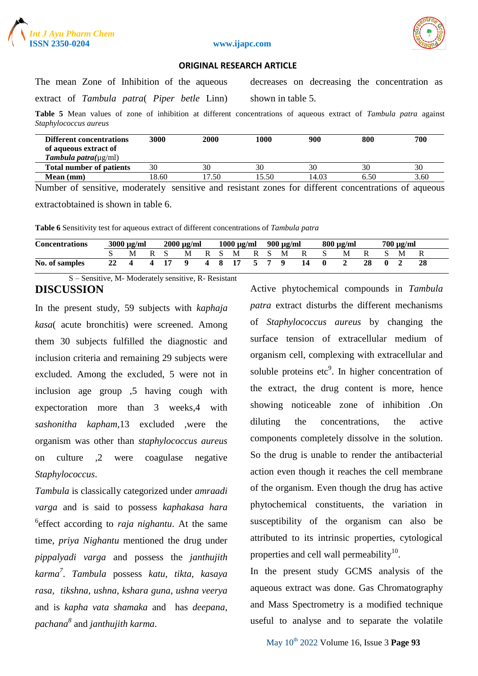



### **ORIGINAL RESEARCH ARTICLE**

The mean Zone of Inhibition of the aqueous extract of *Tambula patra*( *Piper betle* Linn) decreases on decreasing the concentration as shown in table 5.

**Table 5** Mean values of zone of inhibition at different concentrations of aqueous extract of *Tambula patra* against *Staphylococcus aureus*

| <b>Different concentrations</b><br>of aqueous extract of<br><b>Tambula patra</b> ( $\mu$ g/ml) | 3000  | 2000  | 1000 | 900   | 800  | 700  |
|------------------------------------------------------------------------------------------------|-------|-------|------|-------|------|------|
| <b>Total number of patients</b>                                                                | 30    | 30    | 30   | 30    | 30   | 30   |
| Mean (mm)                                                                                      | 18.60 | 17.50 | 5.50 | 14.03 | 6.50 | 3.60 |

Number of sensitive, moderately sensitive and resistant zones for different concentrations of aqueous extract obtained is shown in table 6.

**Table 6** Sensitivity test for aqueous extract of different concentrations of *Tambula patra*

| <b>Concentrations</b> | $3000 \mu g/ml$ |   |  | $2000 \mu g/ml$ |          | $1000 \mu g/ml$ |  | 900 µg/ml |  | $800 \mu g/ml$ |       |    | $700 \mu g/ml$ |   |  |  |     |  |
|-----------------------|-----------------|---|--|-----------------|----------|-----------------|--|-----------|--|----------------|-------|----|----------------|---|--|--|-----|--|
|                       |                 | M |  | R S             | M        |                 |  | R S M     |  |                | RSM R |    |                | M |  |  | - M |  |
| No. of samples        |                 |   |  | 4 17            | $\bf{Q}$ |                 |  | 4 8 17    |  |                | 579   | 14 | . 0            |   |  |  |     |  |

S – Sensitive, M- Moderately sensitive, R- Resistant **DISCUSSION**

In the present study, 59 subjects with *kaphaja kasa*( acute bronchitis) were screened. Among them 30 subjects fulfilled the diagnostic and inclusion criteria and remaining 29 subjects were excluded. Among the excluded, 5 were not in inclusion age group ,5 having cough with expectoration more than 3 weeks,4 with *sashonitha kapham*,13 excluded ,were the organism was other than *staphylococcus aureus* on culture ,2 were coagulase negative *Staphylococcus*.

*Tambula* is classically categorized under *amraadi varga* and is said to possess *kaphakasa hara* <sup>6</sup> effect according to *raja nighantu*. At the same time, *priya Nighantu* mentioned the drug under *pippalyadi varga* and possess the *janthujith karma<sup>7</sup>* . *Tambula* possess *katu, tikta, kasaya rasa, tikshna, ushna, kshara guna, ushna veerya* and is *kapha vata shamaka* and has *deepana, pachana<sup>8</sup>* and *janthujith karma*.

Active phytochemical compounds in *Tambula patra* extract disturbs the different mechanisms of *Staphylococcus aureus* by changing the surface tension of extracellular medium of organism cell, complexing with extracellular and soluble proteins  $etc<sup>9</sup>$ . In higher concentration of the extract, the drug content is more, hence showing noticeable zone of inhibition .On diluting the concentrations, the active components completely dissolve in the solution. So the drug is unable to render the antibacterial action even though it reaches the cell membrane of the organism. Even though the drug has active phytochemical constituents, the variation in susceptibility of the organism can also be attributed to its intrinsic properties, cytological properties and cell wall permeability $^{10}$ .

In the present study GCMS analysis of the aqueous extract was done. Gas Chromatography and Mass Spectrometry is a modified technique useful to analyse and to separate the volatile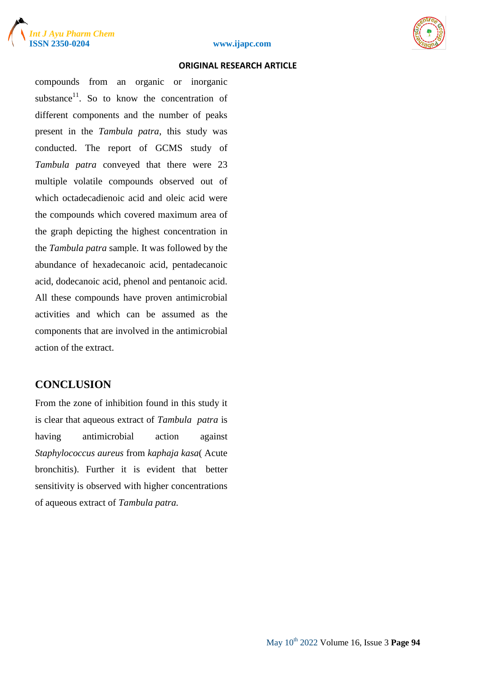





compounds from an organic or inorganic substance $^{11}$ . So to know the concentration of different components and the number of peaks present in the *Tambula patra*, this study was conducted. The report of GCMS study of *Tambula patra* conveyed that there were 23 multiple volatile compounds observed out of which octadecadienoic acid and oleic acid were the compounds which covered maximum area of the graph depicting the highest concentration in the *Tambula patra* sample. It was followed by the abundance of hexadecanoic acid, pentadecanoic acid, dodecanoic acid, phenol and pentanoic acid. All these compounds have proven antimicrobial activities and which can be assumed as the components that are involved in the antimicrobial action of the extract.

# **CONCLUSION**

From the zone of inhibition found in this study it is clear that aqueous extract of *Tambula patra* is having antimicrobial action against *Staphylococcus aureus* from *kaphaja kasa*( Acute bronchitis). Further it is evident that better sensitivity is observed with higher concentrations of aqueous extract of *Tambula patra.*